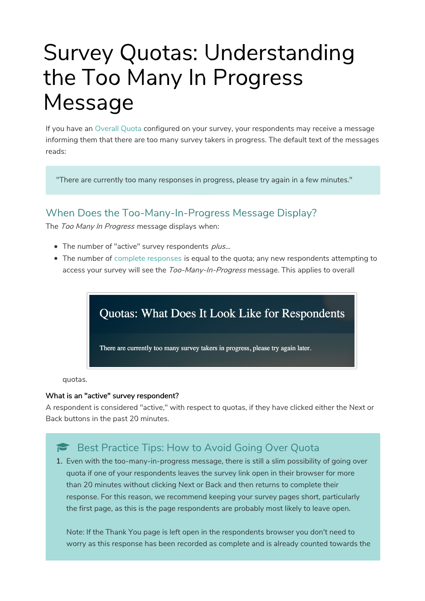# Survey Quotas: Understanding the Too Many In Progress Message

If you have an Overall Quota configured on your survey, your respondents may receive a message informing them that there are too many survey takers in progress. The default text of the messages reads:

"There are currently too many responses in progress, please try again in a few minutes."

#### When Does the Too-Many-In-Progress Message Display?

The Too Many In Progress message displays when:

- The number of "active" survey respondents plus...
- The number of complete responses is equal to the quota; any new respondents attempting to access your survey will see the Too-Many-In-Progress message. This applies to overall

Quotas: What Does It Look Like for Respondents There are currently too many survey takers in progress, please try again later.

quotas.

#### What is an "active" survey respondent?

A respondent is considered "active," with respect to quotas, if they have clicked either the Next or Back buttons in the past 20 minutes.

## Best Practice Tips: How to Avoid Going Over Quota

1. Even with the too-many-in-progress message, there is still a slim possibility of going over quota if one of your respondents leaves the survey link open in their browser for more than 20 minutes without clicking Next or Back and then returns to complete their response. For this reason, we recommend keeping your survey pages short, particularly the first page, as this is the page respondents are probably most likely to leave open.

Note: If the Thank You page is left open in the respondents browser you don't need to worry as this response has been recorded as complete and is already counted towards the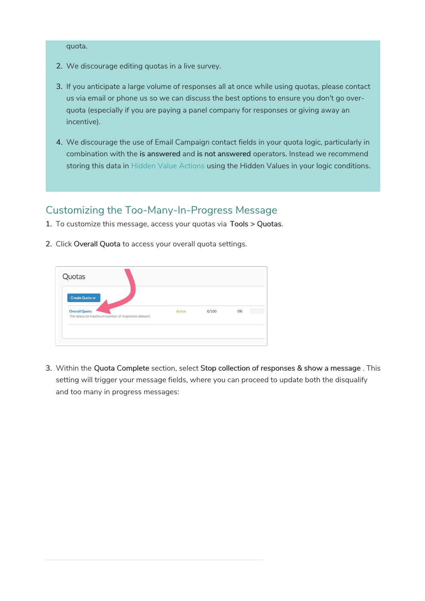#### quota.

- 2. We discourage editing quotas in a live survey.
- 3. If you anticipate a large volume of responses all at once while using quotas, please contact us via email or phone us so we can discuss the best options to ensure you don't go overquota (especially if you are paying a panel company for responses or giving away an incentive).
- 4. We discourage the use of Email Campaign contact fields in your quota logic, particularly in combination with the is answered and is not answered operators. Instead we recommend storing this data in Hidden Value Actions using the Hidden Values in your logic conditions.

### Customizing the Too-Many-In-Progress Message

- 1. To customize this message, access your quotas via Tools > Quotas.
- 2. Click Overall Quota to access your overall quota settings.



3. Within the Quota Complete section, select Stop collection of responses & show a message . This setting will trigger your message fields, where you can proceed to update both the disqualify and too many in progress messages: